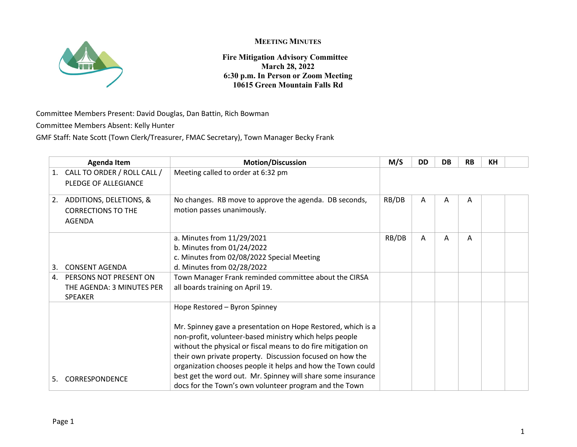

**MEETING MINUTES**

**Fire Mitigation Advisory Committee March 28, 2022 6:30 p.m. In Person or Zoom Meeting 10615 Green Mountain Falls Rd**

Committee Members Present: David Douglas, Dan Battin, Rich Bowman

Committee Members Absent: Kelly Hunter

GMF Staff: Nate Scott (Town Clerk/Treasurer, FMAC Secretary), Town Manager Becky Frank

|    | <b>Agenda Item</b>                                                    | <b>Motion/Discussion</b>                                                                                                                                                                                                                                                                                                                                                                                                                                                        | M/S   | <b>DD</b> | <b>DB</b> | <b>RB</b> | <b>KH</b> |  |
|----|-----------------------------------------------------------------------|---------------------------------------------------------------------------------------------------------------------------------------------------------------------------------------------------------------------------------------------------------------------------------------------------------------------------------------------------------------------------------------------------------------------------------------------------------------------------------|-------|-----------|-----------|-----------|-----------|--|
| 1. | CALL TO ORDER / ROLL CALL /<br>PLEDGE OF ALLEGIANCE                   | Meeting called to order at 6:32 pm                                                                                                                                                                                                                                                                                                                                                                                                                                              |       |           |           |           |           |  |
| 2. | ADDITIONS, DELETIONS, &<br><b>CORRECTIONS TO THE</b><br><b>AGENDA</b> | No changes. RB move to approve the agenda. DB seconds,<br>motion passes unanimously.                                                                                                                                                                                                                                                                                                                                                                                            | RB/DB | A         | A         | A         |           |  |
| 3. | <b>CONSENT AGENDA</b>                                                 | a. Minutes from 11/29/2021<br>b. Minutes from 01/24/2022<br>c. Minutes from 02/08/2022 Special Meeting<br>d. Minutes from 02/28/2022                                                                                                                                                                                                                                                                                                                                            | RB/DB | Α         | A         | A         |           |  |
| 4. | PERSONS NOT PRESENT ON<br>THE AGENDA: 3 MINUTES PER<br><b>SPEAKER</b> | Town Manager Frank reminded committee about the CIRSA<br>all boards training on April 19.                                                                                                                                                                                                                                                                                                                                                                                       |       |           |           |           |           |  |
| 5. | CORRESPONDENCE                                                        | Hope Restored - Byron Spinney<br>Mr. Spinney gave a presentation on Hope Restored, which is a<br>non-profit, volunteer-based ministry which helps people<br>without the physical or fiscal means to do fire mitigation on<br>their own private property. Discussion focused on how the<br>organization chooses people it helps and how the Town could<br>best get the word out. Mr. Spinney will share some insurance<br>docs for the Town's own volunteer program and the Town |       |           |           |           |           |  |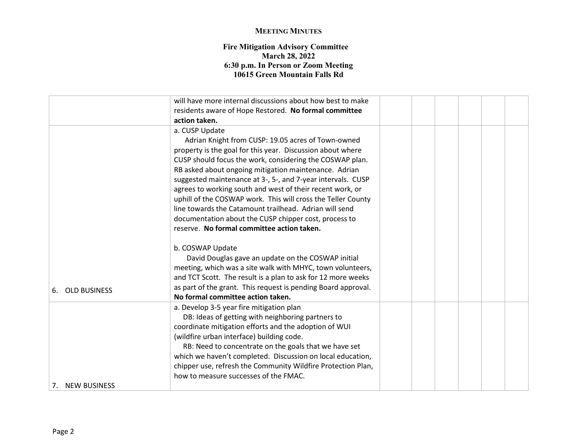## **MEETING MINUTES**

## **Fire Mitigation Advisory Committee March 28, 2022 6:30 p.m. In Person or Zoom Meeting 10615 Green Mountain Falls Rd**

|                           | will have more internal discussions about how best to make    |  |  |  |
|---------------------------|---------------------------------------------------------------|--|--|--|
|                           | residents aware of Hope Restored. No formal committee         |  |  |  |
|                           | action taken.                                                 |  |  |  |
|                           | a. CUSP Update                                                |  |  |  |
|                           | Adrian Knight from CUSP: 19.05 acres of Town-owned            |  |  |  |
|                           | property is the goal for this year. Discussion about where    |  |  |  |
|                           | CUSP should focus the work, considering the COSWAP plan.      |  |  |  |
|                           | RB asked about ongoing mitigation maintenance. Adrian         |  |  |  |
|                           | suggested maintenance at 3-, 5-, and 7-year intervals. CUSP   |  |  |  |
|                           | agrees to working south and west of their recent work, or     |  |  |  |
|                           | uphill of the COSWAP work. This will cross the Teller County  |  |  |  |
|                           | line towards the Catamount trailhead. Adrian will send        |  |  |  |
|                           | documentation about the CUSP chipper cost, process to         |  |  |  |
|                           | reserve. No formal committee action taken.                    |  |  |  |
|                           | b. COSWAP Update                                              |  |  |  |
|                           | David Douglas gave an update on the COSWAP initial            |  |  |  |
|                           | meeting, which was a site walk with MHYC, town volunteers,    |  |  |  |
|                           | and TCT Scott. The result is a plan to ask for 12 more weeks  |  |  |  |
| 6. OLD BUSINESS           | as part of the grant. This request is pending Board approval. |  |  |  |
|                           | No formal committee action taken.                             |  |  |  |
|                           | a. Develop 3-5 year fire mitigation plan                      |  |  |  |
|                           | DB: Ideas of getting with neighboring partners to             |  |  |  |
|                           | coordinate mitigation efforts and the adoption of WUI         |  |  |  |
|                           | (wildfire urban interface) building code.                     |  |  |  |
|                           | RB: Need to concentrate on the goals that we have set         |  |  |  |
|                           | which we haven't completed. Discussion on local education,    |  |  |  |
|                           | chipper use, refresh the Community Wildfire Protection Plan,  |  |  |  |
|                           | how to measure successes of the FMAC.                         |  |  |  |
| <b>NEW BUSINESS</b><br>7. |                                                               |  |  |  |